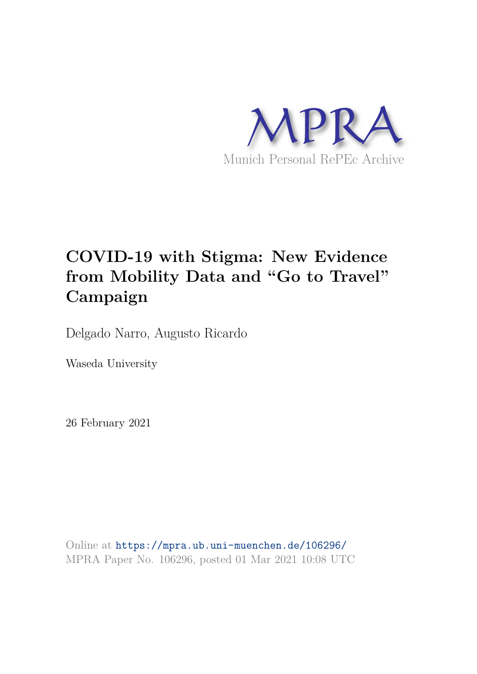

# **COVID-19 with Stigma: New Evidence from Mobility Data and "Go to Travel" Campaign**

Delgado Narro, Augusto Ricardo

Waseda University

26 February 2021

Online at https://mpra.ub.uni-muenchen.de/106296/ MPRA Paper No. 106296, posted 01 Mar 2021 10:08 UTC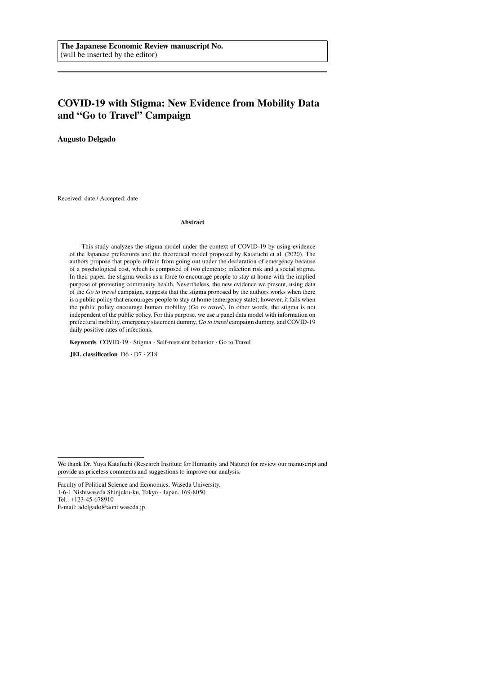# **COVID-19 with Stigma: New Evidence from Mobility Data and "Go to Travel" Campaign**

**Augusto Delgado**

Received: date / Accepted: date

#### **Abstract**

This study analyzes the stigma model under the context of COVID-19 by using evidence of the Japanese prefectures and the theoretical model proposed by Katafuchi et al. (2020). The authors propose that people refrain from going out under the declaration of emergency because of a psychological cost, which is composed of two elements: infection risk and a social stigma. In their paper, the stigma works as a force to encourage people to stay at home with the implied purpose of protecting community health. Nevertheless, the new evidence we present, using data of the *Go to travel* campaign, suggests that the stigma proposed by the authors works when there is a public policy that encourages people to stay at home (emergency state); however, it fails when the public policy encourage human mobility (*Go to travel*). In other words, the stigma is not independent of the public policy. For this purpose, we use a panel data model with information on prefectural mobility, emergency statement dummy, *Go to travel* campaign dummy, and COVID-19 daily positive rates of infections.

**Keywords** COVID-19 · Stigma · Self-restraint behavior · Go to Travel

**JEL classification** D6 · D7 · Z18

Tel.: +123-45-678910

E-mail: adelgado@aoni.waseda.jp

We thank Dr. Yuya Katafuchi (Research Institute for Humanity and Nature) for review our manuscript and provide us priceless comments and suggestions to improve our analysis.

Faculty of Political Science and Economics, Waseda University.

<sup>1-6-1</sup> Nishiwaseda Shinjuku-ku, Tokyo - Japan. 169-8050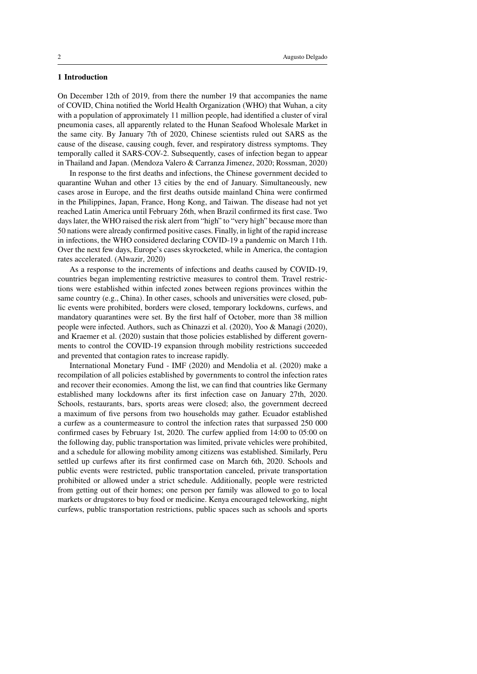# **1 Introduction**

On December 12th of 2019, from there the number 19 that accompanies the name of COVID, China notified the World Health Organization (WHO) that Wuhan, a city with a population of approximately 11 million people, had identified a cluster of viral pneumonia cases, all apparently related to the Hunan Seafood Wholesale Market in the same city. By January 7th of 2020, Chinese scientists ruled out SARS as the cause of the disease, causing cough, fever, and respiratory distress symptoms. They temporally called it SARS-COV-2. Subsequently, cases of infection began to appear in Thailand and Japan. (Mendoza Valero & Carranza Jimenez, 2020; Rossman, 2020)

In response to the first deaths and infections, the Chinese government decided to quarantine Wuhan and other 13 cities by the end of January. Simultaneously, new cases arose in Europe, and the first deaths outside mainland China were confirmed in the Philippines, Japan, France, Hong Kong, and Taiwan. The disease had not yet reached Latin America until February 26th, when Brazil confirmed its first case. Two days later, the WHO raised the risk alert from "high" to "very high" because more than 50 nations were already confirmed positive cases. Finally, in light of the rapid increase in infections, the WHO considered declaring COVID-19 a pandemic on March 11th. Over the next few days, Europe's cases skyrocketed, while in America, the contagion rates accelerated. (Alwazir, 2020)

As a response to the increments of infections and deaths caused by COVID-19, countries began implementing restrictive measures to control them. Travel restrictions were established within infected zones between regions provinces within the same country (e.g., China). In other cases, schools and universities were closed, public events were prohibited, borders were closed, temporary lockdowns, curfews, and mandatory quarantines were set. By the first half of October, more than 38 million people were infected. Authors, such as Chinazzi et al. (2020), Yoo & Managi (2020), and Kraemer et al. (2020) sustain that those policies established by different governments to control the COVID-19 expansion through mobility restrictions succeeded and prevented that contagion rates to increase rapidly.

International Monetary Fund - IMF (2020) and Mendolia et al. (2020) make a recompilation of all policies established by governments to control the infection rates and recover their economies. Among the list, we can find that countries like Germany established many lockdowns after its first infection case on January 27th, 2020. Schools, restaurants, bars, sports areas were closed; also, the government decreed a maximum of five persons from two households may gather. Ecuador established a curfew as a countermeasure to control the infection rates that surpassed 250 000 confirmed cases by February 1st, 2020. The curfew applied from 14:00 to 05:00 on the following day, public transportation was limited, private vehicles were prohibited, and a schedule for allowing mobility among citizens was established. Similarly, Peru settled up curfews after its first confirmed case on March 6th, 2020. Schools and public events were restricted, public transportation canceled, private transportation prohibited or allowed under a strict schedule. Additionally, people were restricted from getting out of their homes; one person per family was allowed to go to local markets or drugstores to buy food or medicine. Kenya encouraged teleworking, night curfews, public transportation restrictions, public spaces such as schools and sports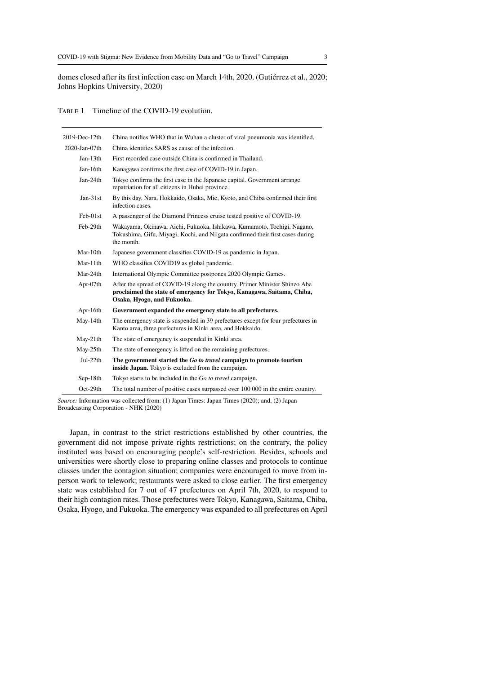domes closed after its first infection case on March 14th, 2020. (Gutiérrez et al., 2020; Johns Hopkins University, 2020)

TABLE 1 Timeline of the COVID-19 evolution.

| 2019-Dec-12th | China notifies WHO that in Wuhan a cluster of viral pneumonia was identified.                                                                                                      |
|---------------|------------------------------------------------------------------------------------------------------------------------------------------------------------------------------------|
| 2020-Jan-07th | China identifies SARS as cause of the infection.                                                                                                                                   |
| $Jan-13th$    | First recorded case outside China is confirmed in Thailand.                                                                                                                        |
| Jan-16th      | Kanagawa confirms the first case of COVID-19 in Japan.                                                                                                                             |
| Jan-24th      | Tokyo confirms the first case in the Japanese capital. Government arrange<br>repatriation for all citizens in Hubei province.                                                      |
| $Jan-31st$    | By this day, Nara, Hokkaido, Osaka, Mie, Kyoto, and Chiba confirmed their first<br>infection cases.                                                                                |
| Feb-01st      | A passenger of the Diamond Princess cruise tested positive of COVID-19.                                                                                                            |
| Feb-29th      | Wakayama, Okinawa, Aichi, Fukuoka, Ishikawa, Kumamoto, Tochigi, Nagano,<br>Tokushima, Gifu, Miyagi, Kochi, and Niigata confirmed their first cases during<br>the month.            |
| $Mar-10th$    | Japanese government classifies COVID-19 as pandemic in Japan.                                                                                                                      |
| $Mar-11th$    | WHO classifies COVID19 as global pandemic.                                                                                                                                         |
| Mar-24th      | International Olympic Committee postpones 2020 Olympic Games.                                                                                                                      |
| Apr-07 $th$   | After the spread of COVID-19 along the country. Primer Minister Shinzo Abe<br>proclaimed the state of emergency for Tokyo, Kanagawa, Saitama, Chiba,<br>Osaka, Hyogo, and Fukuoka. |
| Apr-16th      | Government expanded the emergency state to all prefectures.                                                                                                                        |
| May-14th      | The emergency state is suspended in 39 prefectures except for four prefectures in<br>Kanto area, three prefectures in Kinki area, and Hokkaido.                                    |
| $May-21th$    | The state of emergency is suspended in Kinki area.                                                                                                                                 |
| May-25th      | The state of emergency is lifted on the remaining prefectures.                                                                                                                     |
| Jul-22th      | The government started the Go to travel campaign to promote tourism<br>inside Japan. Tokyo is excluded from the campaign.                                                          |
| $Sep-18th$    | Tokyo starts to be included in the Go to travel campaign.                                                                                                                          |
| $Oct-29th$    | The total number of positive cases surpassed over 100 000 in the entire country.                                                                                                   |

*Source:* Information was collected from: (1) Japan Times: Japan Times (2020); and, (2) Japan Broadcasting Corporation - NHK (2020)

Japan, in contrast to the strict restrictions established by other countries, the government did not impose private rights restrictions; on the contrary, the policy instituted was based on encouraging people's self-restriction. Besides, schools and universities were shortly close to preparing online classes and protocols to continue classes under the contagion situation; companies were encouraged to move from inperson work to telework; restaurants were asked to close earlier. The first emergency state was established for 7 out of 47 prefectures on April 7th, 2020, to respond to their high contagion rates. Those prefectures were Tokyo, Kanagawa, Saitama, Chiba, Osaka, Hyogo, and Fukuoka. The emergency was expanded to all prefectures on April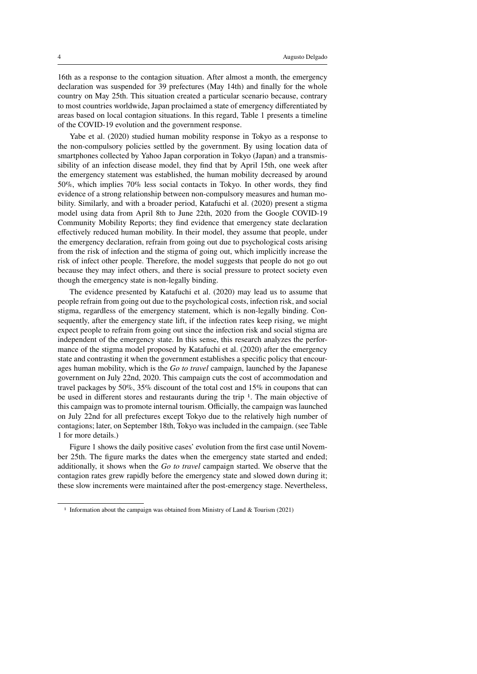16th as a response to the contagion situation. After almost a month, the emergency declaration was suspended for 39 prefectures (May 14th) and finally for the whole country on May 25th. This situation created a particular scenario because, contrary to most countries worldwide, Japan proclaimed a state of emergency differentiated by areas based on local contagion situations. In this regard, Table 1 presents a timeline of the COVID-19 evolution and the government response.

Yabe et al. (2020) studied human mobility response in Tokyo as a response to the non-compulsory policies settled by the government. By using location data of smartphones collected by Yahoo Japan corporation in Tokyo (Japan) and a transmissibility of an infection disease model, they find that by April 15th, one week after the emergency statement was established, the human mobility decreased by around 50%, which implies 70% less social contacts in Tokyo. In other words, they find evidence of a strong relationship between non-compulsory measures and human mobility. Similarly, and with a broader period, Katafuchi et al. (2020) present a stigma model using data from April 8th to June 22th, 2020 from the Google COVID-19 Community Mobility Reports; they find evidence that emergency state declaration effectively reduced human mobility. In their model, they assume that people, under the emergency declaration, refrain from going out due to psychological costs arising from the risk of infection and the stigma of going out, which implicitly increase the risk of infect other people. Therefore, the model suggests that people do not go out because they may infect others, and there is social pressure to protect society even though the emergency state is non-legally binding.

The evidence presented by Katafuchi et al. (2020) may lead us to assume that people refrain from going out due to the psychological costs, infection risk, and social stigma, regardless of the emergency statement, which is non-legally binding. Consequently, after the emergency state lift, if the infection rates keep rising, we might expect people to refrain from going out since the infection risk and social stigma are independent of the emergency state. In this sense, this research analyzes the performance of the stigma model proposed by Katafuchi et al. (2020) after the emergency state and contrasting it when the government establishes a specific policy that encourages human mobility, which is the *Go to travel* campaign, launched by the Japanese government on July 22nd, 2020. This campaign cuts the cost of accommodation and travel packages by  $50\%$ ,  $35\%$  discount of the total cost and  $15\%$  in coupons that can be used in different stores and restaurants during the trip 1. The main objective of this campaign was to promote internal tourism. Officially, the campaign was launched on July 22nd for all prefectures except Tokyo due to the relatively high number of contagions; later, on September 18th, Tokyo was included in the campaign. (see Table 1 for more details.)

Figure 1 shows the daily positive cases' evolution from the first case until November 25th. The figure marks the dates when the emergency state started and ended; additionally, it shows when the *Go to travel* campaign started. We observe that the contagion rates grew rapidly before the emergency state and slowed down during it; these slow increments were maintained after the post-emergency stage. Nevertheless,

<sup>&</sup>lt;sup>1</sup> Information about the campaign was obtained from Ministry of Land & Tourism (2021)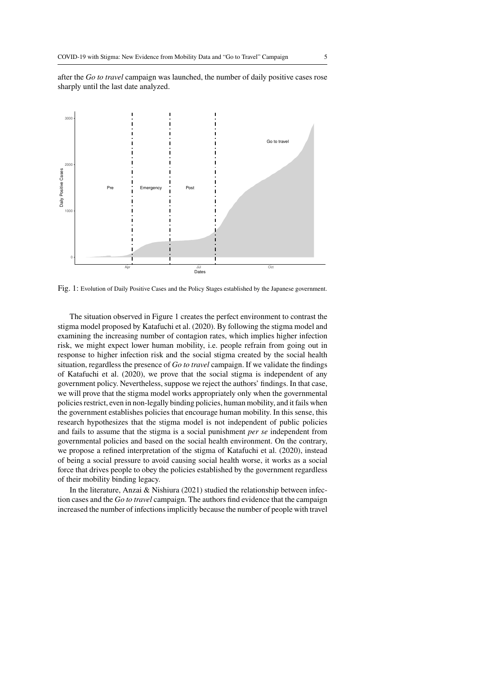after the *Go to travel* campaign was launched, the number of daily positive cases rose sharply until the last date analyzed.



Fig. 1: Evolution of Daily Positive Cases and the Policy Stages established by the Japanese government.

The situation observed in Figure 1 creates the perfect environment to contrast the stigma model proposed by Katafuchi et al. (2020). By following the stigma model and examining the increasing number of contagion rates, which implies higher infection risk, we might expect lower human mobility, i.e. people refrain from going out in response to higher infection risk and the social stigma created by the social health situation, regardless the presence of *Go to travel* campaign. If we validate the findings of Katafuchi et al. (2020), we prove that the social stigma is independent of any government policy. Nevertheless, suppose we reject the authors' findings. In that case, we will prove that the stigma model works appropriately only when the governmental policies restrict, even in non-legally binding policies, human mobility, and it fails when the government establishes policies that encourage human mobility. In this sense, this research hypothesizes that the stigma model is not independent of public policies and fails to assume that the stigma is a social punishment *per se* independent from governmental policies and based on the social health environment. On the contrary, we propose a refined interpretation of the stigma of Katafuchi et al. (2020), instead of being a social pressure to avoid causing social health worse, it works as a social force that drives people to obey the policies established by the government regardless of their mobility binding legacy.

In the literature, Anzai & Nishiura (2021) studied the relationship between infection cases and the *Go to travel* campaign. The authors find evidence that the campaign increased the number of infections implicitly because the number of people with travel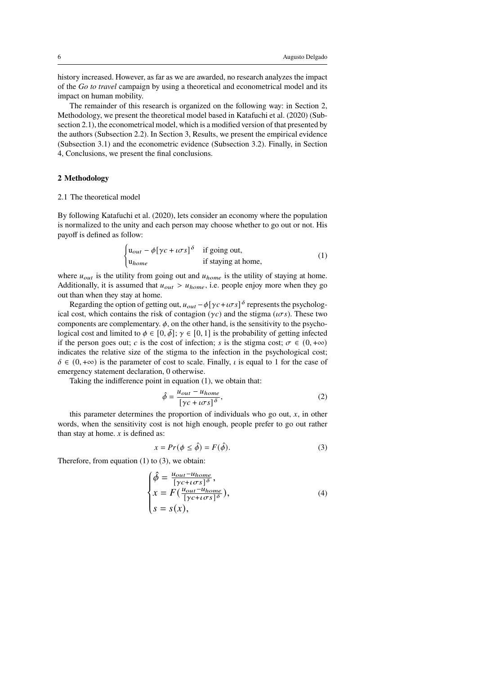history increased. However, as far as we are awarded, no research analyzes the impact of the *Go to travel* campaign by using a theoretical and econometrical model and its impact on human mobility.

The remainder of this research is organized on the following way: in Section 2, Methodology, we present the theoretical model based in Katafuchi et al. (2020) (Subsection 2.1), the econometrical model, which is a modified version of that presented by the authors (Subsection 2.2). In Section 3, Results, we present the empirical evidence (Subsection 3.1) and the econometric evidence (Subsection 3.2). Finally, in Section 4, Conclusions, we present the final conclusions.

# **2 Methodology**

#### 2.1 The theoretical model

By following Katafuchi et al. (2020), lets consider an economy where the population is normalized to the unity and each person may choose whether to go out or not. His payoff is defined as follow:

$$
\begin{cases} \mathbf{u}_{out} - \phi[\gamma c + i\sigma s]^{\delta} & \text{if going out,} \\ \mathbf{u}_{home} & \text{if staying at home,} \end{cases}
$$
 (1)

where  $u_{out}$  is the utility from going out and  $u_{home}$  is the utility of staying at home. Additionally, it is assumed that  $u_{out} > u_{home}$ , i.e. people enjoy more when they go out than when they stay at home.

Regarding the option of getting out,  $u_{out} - \phi[\gamma c + i\sigma s]^{\delta}$  represents the psychological cost, which contains the risk of contagion ( $\gamma c$ ) and the stigma ( $\iota \sigma s$ ). These two components are complementary.  $\phi$ , on the other hand, is the sensitivity to the psychological cost and limited to  $\phi \in [0, \bar{\phi}]$ ;  $\gamma \in [0, 1]$  is the probability of getting infected if the person goes out; c is the cost of infection; s is the stigma cost;  $\sigma \in (0, +\infty)$ indicates the relative size of the stigma to the infection in the psychological cost;  $\delta \in (0, +\infty)$  is the parameter of cost to scale. Finally,  $\iota$  is equal to 1 for the case of emergency statement declaration, 0 otherwise.

Taking the indifference point in equation (1), we obtain that:

$$
\hat{\phi} = \frac{u_{out} - u_{home}}{[\gamma c + i\sigma s]^{\delta}},\tag{2}
$$

this parameter determines the proportion of individuals who go out,  $x$ , in other words, when the sensitivity cost is not high enough, people prefer to go out rather than stay at home.  $x$  is defined as:

$$
x = Pr(\phi \le \hat{\phi}) = F(\hat{\phi}).
$$
\n(3)

Therefore, from equation (1) to (3), we obtain:

$$
\begin{cases}\n\hat{\phi} = \frac{u_{out} - u_{home}}{[\gamma c + i \sigma s]^{\delta}}, \\
x = F(\frac{u_{out} - u_{home}}{[\gamma c + i \sigma s]^{\delta}}), \\
s = s(x),\n\end{cases} \tag{4}
$$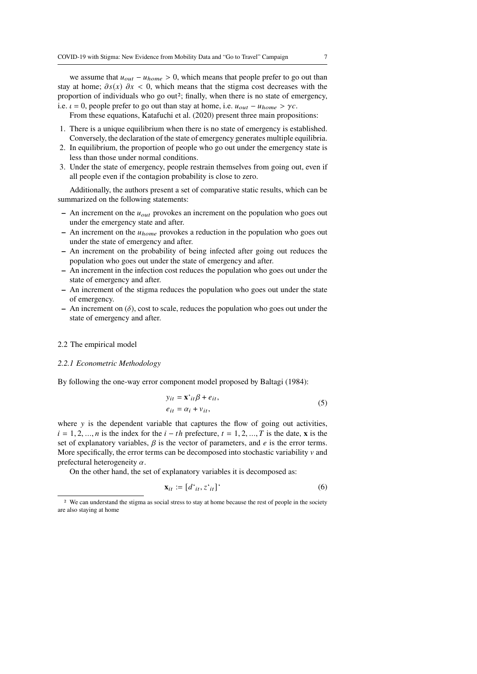we assume that  $u_{out} - u_{home} > 0$ , which means that people prefer to go out than stay at home;  $\partial s(x)$   $\partial x$  < 0, which means that the stigma cost decreases with the proportion of individuals who go out<sup>2</sup>; finally, when there is no state of emergency, i.e.  $\iota = 0$ , people prefer to go out than stay at home, i.e.  $u_{out} - u_{home} > \gamma c$ .

From these equations, Katafuchi et al. (2020) present three main propositions:

- 1. There is a unique equilibrium when there is no state of emergency is established. Conversely, the declaration of the state of emergency generates multiple equilibria.
- 2. In equilibrium, the proportion of people who go out under the emergency state is less than those under normal conditions.
- 3. Under the state of emergency, people restrain themselves from going out, even if all people even if the contagion probability is close to zero.

Additionally, the authors present a set of comparative static results, which can be summarized on the following statements:

- $-$  An increment on the  $u_{out}$  provokes an increment on the population who goes out under the emergency state and after.
- $-$  An increment on the  $u_{home}$  provokes a reduction in the population who goes out under the state of emergency and after.
- **–** An increment on the probability of being infected after going out reduces the population who goes out under the state of emergency and after.
- **–** An increment in the infection cost reduces the population who goes out under the state of emergency and after.
- **–** An increment of the stigma reduces the population who goes out under the state of emergency.
- $-$  An increment on  $(\delta)$ , cost to scale, reduces the population who goes out under the state of emergency and after.

#### 2.2 The empirical model

#### *2.2.1 Econometric Methodology*

By following the one-way error component model proposed by Baltagi (1984):

$$
y_{it} = \mathbf{x}^t_{it} \boldsymbol{\beta} + e_{it},
$$
  
\n
$$
e_{it} = \alpha_i + v_{it},
$$
\n(5)

where  $y$  is the dependent variable that captures the flow of going out activities,  $i = 1, 2, ..., n$  is the index for the  $i - th$  prefecture,  $t = 1, 2, ..., T$  is the date, **x** is the set of explanatory variables,  $\beta$  is the vector of parameters, and  $e$  is the error terms. More specifically, the error terms can be decomposed into stochastic variability  $\nu$  and prefectural heterogeneity  $\alpha$ .

On the other hand, the set of explanatory variables it is decomposed as:

$$
\mathbf{x}_{it} := [d^{\prime}_{it}, z^{\prime}_{it}]^{\prime} \tag{6}
$$

<sup>2</sup> We can understand the stigma as social stress to stay at home because the rest of people in the society are also staying at home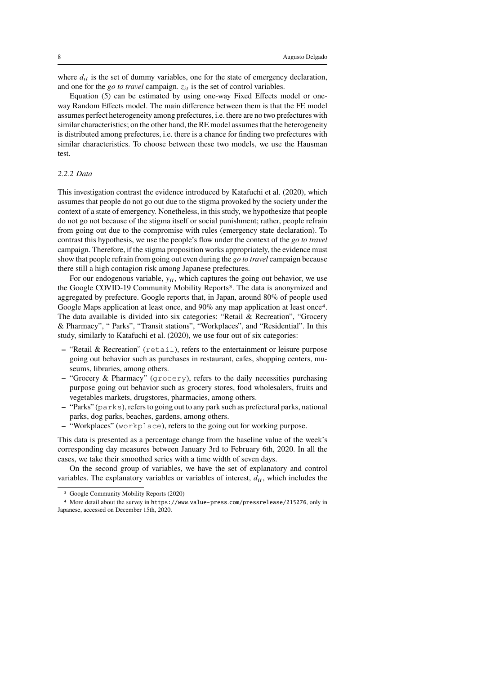where  $d_{it}$  is the set of dummy variables, one for the state of emergency declaration, and one for the *go to travel* campaign.  $z_{it}$  is the set of control variables.

Equation (5) can be estimated by using one-way Fixed Effects model or oneway Random Effects model. The main difference between them is that the FE model assumes perfect heterogeneity among prefectures, i.e. there are no two prefectures with similar characteristics; on the other hand, the RE model assumes that the heterogeneity is distributed among prefectures, i.e. there is a chance for finding two prefectures with similar characteristics. To choose between these two models, we use the Hausman test.

# *2.2.2 Data*

This investigation contrast the evidence introduced by Katafuchi et al. (2020), which assumes that people do not go out due to the stigma provoked by the society under the context of a state of emergency. Nonetheless, in this study, we hypothesize that people do not go not because of the stigma itself or social punishment; rather, people refrain from going out due to the compromise with rules (emergency state declaration). To contrast this hypothesis, we use the people's flow under the context of the *go to travel* campaign. Therefore, if the stigma proposition works appropriately, the evidence must show that people refrain from going out even during the *go to travel* campaign because there still a high contagion risk among Japanese prefectures.

For our endogenous variable,  $y_{it}$ , which captures the going out behavior, we use the Google COVID-19 Community Mobility Reports<sup>3</sup>. The data is anonymized and aggregated by prefecture. Google reports that, in Japan, around 80% of people used Google Maps application at least once, and 90% any map application at least once4. The data available is divided into six categories: "Retail & Recreation", "Grocery & Pharmacy", " Parks", "Transit stations", "Workplaces", and "Residential". In this study, similarly to Katafuchi et al. (2020), we use four out of six categories:

- **–** "Retail & Recreation" (retail), refers to the entertainment or leisure purpose going out behavior such as purchases in restaurant, cafes, shopping centers, museums, libraries, among others.
- **–** "Grocery & Pharmacy" (grocery), refers to the daily necessities purchasing purpose going out behavior such as grocery stores, food wholesalers, fruits and vegetables markets, drugstores, pharmacies, among others.
- **–** "Parks" (parks), refers to going out to any park such as prefectural parks, national parks, dog parks, beaches, gardens, among others.
- **–** "Workplaces" (workplace), refers to the going out for working purpose.

This data is presented as a percentage change from the baseline value of the week's corresponding day measures between January 3rd to February 6th, 2020. In all the cases, we take their smoothed series with a time width of seven days.

On the second group of variables, we have the set of explanatory and control variables. The explanatory variables or variables of interest,  $d_{it}$ , which includes the

<sup>3</sup> Google Community Mobility Reports (2020)

<sup>4</sup> More detail about the survey in https://www.value-press.com/pressrelease/215276, only in Japanese, accessed on December 15th, 2020.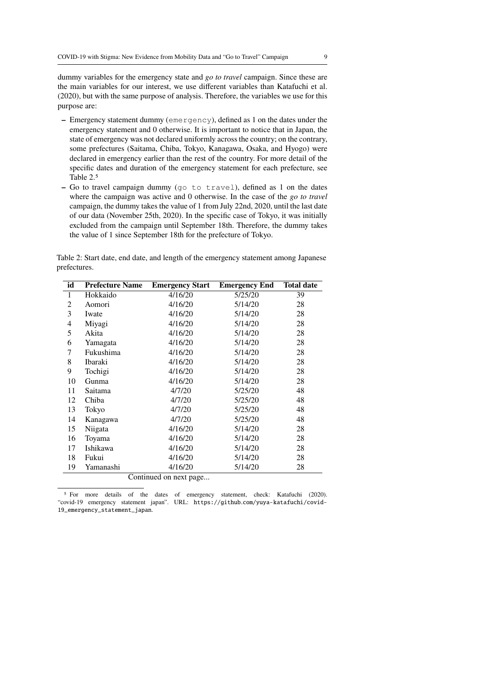dummy variables for the emergency state and *go to travel* campaign. Since these are the main variables for our interest, we use different variables than Katafuchi et al. (2020), but with the same purpose of analysis. Therefore, the variables we use for this purpose are:

- **–** Emergency statement dummy (emergency), defined as 1 on the dates under the emergency statement and 0 otherwise. It is important to notice that in Japan, the state of emergency was not declared uniformly across the country; on the contrary, some prefectures (Saitama, Chiba, Tokyo, Kanagawa, Osaka, and Hyogo) were declared in emergency earlier than the rest of the country. For more detail of the specific dates and duration of the emergency statement for each prefecture, see Table 2.5
- **–** Go to travel campaign dummy (go to travel), defined as 1 on the dates where the campaign was active and 0 otherwise. In the case of the *go to travel* campaign, the dummy takes the value of 1 from July 22nd, 2020, until the last date of our data (November 25th, 2020). In the specific case of Tokyo, it was initially excluded from the campaign until September 18th. Therefore, the dummy takes the value of 1 since September 18th for the prefecture of Tokyo.

Table 2: Start date, end date, and length of the emergency statement among Japanese prefectures.

| id             | <b>Prefecture Name</b> | <b>Emergency Start</b> | <b>Emergency End</b> | <b>Total date</b> |  |  |
|----------------|------------------------|------------------------|----------------------|-------------------|--|--|
| 1              | Hokkaido               | 4/16/20                | 5/25/20              | 39                |  |  |
| $\overline{2}$ | Aomori                 | 4/16/20                | 5/14/20              | 28                |  |  |
| 3              | Iwate                  | 4/16/20                | 5/14/20              | 28                |  |  |
| 4              | Miyagi                 | 4/16/20                | 5/14/20              | 28                |  |  |
| 5              | Akita                  | 4/16/20                | 5/14/20              | 28                |  |  |
| 6              | Yamagata               | 4/16/20                | 5/14/20              | 28                |  |  |
| 7              | Fukushima              | 4/16/20                | 5/14/20              | 28                |  |  |
| 8              | Ibaraki                | 4/16/20                | 5/14/20              | 28                |  |  |
| 9              | Tochigi                | 4/16/20                | 5/14/20              | 28                |  |  |
| 10             | Gunma                  | 4/16/20                | 5/14/20              | 28                |  |  |
| 11             | Saitama                | 4/7/20                 | 5/25/20              | 48                |  |  |
| 12             | Chiba                  | 4/7/20                 | 5/25/20              | 48                |  |  |
| 13             | Tokyo                  | 4/7/20                 | 5/25/20              | 48                |  |  |
| 14             | Kanagawa               | 4/7/20                 | 5/25/20              | 48                |  |  |
| 15             | Niigata                | 4/16/20                | 5/14/20              | 28                |  |  |
| 16             | Toyama                 | 4/16/20                | 5/14/20              | 28                |  |  |
| 17             | Ishikawa               | 4/16/20                | 5/14/20              | 28                |  |  |
| 18             | Fukui                  | 4/16/20                | 5/14/20              | 28                |  |  |
| 19             | Yamanashi              | 4/16/20                | 5/14/20              | 28                |  |  |
|                | Continued on next page |                        |                      |                   |  |  |

<sup>5</sup> For more details of the dates of emergency statement, check: Katafuchi (2020). "covid-19 emergency statement japan". URL: https://github.com/yuya-katafuchi/covid-19\_emergency\_statement\_japan.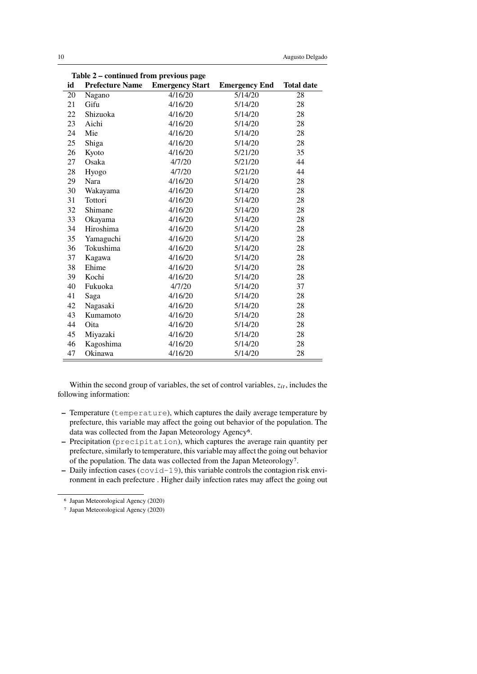| <b>Prefecture Name</b><br><b>Emergency Start</b><br>id<br><b>Total date</b><br><b>Emergency End</b><br>4/16/20<br>$\frac{5}{14/20}$<br>28<br>20<br>Nagano<br>Gifu<br>4/16/20<br>5/14/20<br>21<br>28<br>22<br>Shizuoka<br>4/16/20<br>5/14/20<br>28<br>23<br>Aichi<br>4/16/20<br>5/14/20<br>28<br>24<br>Mie<br>28<br>4/16/20<br>5/14/20<br>25<br>Shiga<br>4/16/20<br>5/14/20<br>28<br>26<br>35<br>Kyoto<br>4/16/20<br>5/21/20<br>27<br>Osaka<br>4/7/20<br>5/21/20<br>44<br>28<br>4/7/20<br>5/21/20<br>44<br>Hyogo<br>28<br>29<br>Nara<br>4/16/20<br>5/14/20<br>30<br>4/16/20<br>5/14/20<br>28<br>Wakayama<br>31<br>Tottori<br>4/16/20<br>5/14/20<br>28<br>32<br>Shimane<br>4/16/20<br>5/14/20<br>28<br>33<br>28<br>Okayama<br>4/16/20<br>5/14/20<br>Hiroshima<br>34<br>4/16/20<br>5/14/20<br>28<br>35<br>4/16/20<br>28<br>Yamaguchi<br>5/14/20<br>Tokushima<br>36<br>4/16/20<br>5/14/20<br>28<br>37<br>28<br>4/16/20<br>5/14/20<br>Kagawa<br>Ehime<br>38<br>4/16/20<br>5/14/20<br>28<br>39<br>Kochi<br>4/16/20<br>5/14/20<br>28<br>40<br>Fukuoka<br>4/7/20<br>5/14/20<br>37<br>41<br>4/16/20<br>28<br>5/14/20<br>Saga<br>42<br>Nagasaki<br>4/16/20<br>28<br>5/14/20<br>43<br>28<br>Kumamoto<br>4/16/20<br>5/14/20<br>44<br>4/16/20<br>5/14/20<br>Oita<br>28<br>45<br>Miyazaki<br>4/16/20<br>5/14/20<br>28<br>46<br>Kagoshima<br>4/16/20<br>5/14/20<br>28<br>47<br>Okinawa<br>4/16/20<br>5/14/20<br>28 | Table 2 – continued from previous page |  |  |  |  |  |
|-----------------------------------------------------------------------------------------------------------------------------------------------------------------------------------------------------------------------------------------------------------------------------------------------------------------------------------------------------------------------------------------------------------------------------------------------------------------------------------------------------------------------------------------------------------------------------------------------------------------------------------------------------------------------------------------------------------------------------------------------------------------------------------------------------------------------------------------------------------------------------------------------------------------------------------------------------------------------------------------------------------------------------------------------------------------------------------------------------------------------------------------------------------------------------------------------------------------------------------------------------------------------------------------------------------------------------------------------------------------------------------------------------|----------------------------------------|--|--|--|--|--|
|                                                                                                                                                                                                                                                                                                                                                                                                                                                                                                                                                                                                                                                                                                                                                                                                                                                                                                                                                                                                                                                                                                                                                                                                                                                                                                                                                                                                     |                                        |  |  |  |  |  |
|                                                                                                                                                                                                                                                                                                                                                                                                                                                                                                                                                                                                                                                                                                                                                                                                                                                                                                                                                                                                                                                                                                                                                                                                                                                                                                                                                                                                     |                                        |  |  |  |  |  |
|                                                                                                                                                                                                                                                                                                                                                                                                                                                                                                                                                                                                                                                                                                                                                                                                                                                                                                                                                                                                                                                                                                                                                                                                                                                                                                                                                                                                     |                                        |  |  |  |  |  |
|                                                                                                                                                                                                                                                                                                                                                                                                                                                                                                                                                                                                                                                                                                                                                                                                                                                                                                                                                                                                                                                                                                                                                                                                                                                                                                                                                                                                     |                                        |  |  |  |  |  |
|                                                                                                                                                                                                                                                                                                                                                                                                                                                                                                                                                                                                                                                                                                                                                                                                                                                                                                                                                                                                                                                                                                                                                                                                                                                                                                                                                                                                     |                                        |  |  |  |  |  |
|                                                                                                                                                                                                                                                                                                                                                                                                                                                                                                                                                                                                                                                                                                                                                                                                                                                                                                                                                                                                                                                                                                                                                                                                                                                                                                                                                                                                     |                                        |  |  |  |  |  |
|                                                                                                                                                                                                                                                                                                                                                                                                                                                                                                                                                                                                                                                                                                                                                                                                                                                                                                                                                                                                                                                                                                                                                                                                                                                                                                                                                                                                     |                                        |  |  |  |  |  |
|                                                                                                                                                                                                                                                                                                                                                                                                                                                                                                                                                                                                                                                                                                                                                                                                                                                                                                                                                                                                                                                                                                                                                                                                                                                                                                                                                                                                     |                                        |  |  |  |  |  |
|                                                                                                                                                                                                                                                                                                                                                                                                                                                                                                                                                                                                                                                                                                                                                                                                                                                                                                                                                                                                                                                                                                                                                                                                                                                                                                                                                                                                     |                                        |  |  |  |  |  |
|                                                                                                                                                                                                                                                                                                                                                                                                                                                                                                                                                                                                                                                                                                                                                                                                                                                                                                                                                                                                                                                                                                                                                                                                                                                                                                                                                                                                     |                                        |  |  |  |  |  |
|                                                                                                                                                                                                                                                                                                                                                                                                                                                                                                                                                                                                                                                                                                                                                                                                                                                                                                                                                                                                                                                                                                                                                                                                                                                                                                                                                                                                     |                                        |  |  |  |  |  |
|                                                                                                                                                                                                                                                                                                                                                                                                                                                                                                                                                                                                                                                                                                                                                                                                                                                                                                                                                                                                                                                                                                                                                                                                                                                                                                                                                                                                     |                                        |  |  |  |  |  |
|                                                                                                                                                                                                                                                                                                                                                                                                                                                                                                                                                                                                                                                                                                                                                                                                                                                                                                                                                                                                                                                                                                                                                                                                                                                                                                                                                                                                     |                                        |  |  |  |  |  |
|                                                                                                                                                                                                                                                                                                                                                                                                                                                                                                                                                                                                                                                                                                                                                                                                                                                                                                                                                                                                                                                                                                                                                                                                                                                                                                                                                                                                     |                                        |  |  |  |  |  |
|                                                                                                                                                                                                                                                                                                                                                                                                                                                                                                                                                                                                                                                                                                                                                                                                                                                                                                                                                                                                                                                                                                                                                                                                                                                                                                                                                                                                     |                                        |  |  |  |  |  |
|                                                                                                                                                                                                                                                                                                                                                                                                                                                                                                                                                                                                                                                                                                                                                                                                                                                                                                                                                                                                                                                                                                                                                                                                                                                                                                                                                                                                     |                                        |  |  |  |  |  |
|                                                                                                                                                                                                                                                                                                                                                                                                                                                                                                                                                                                                                                                                                                                                                                                                                                                                                                                                                                                                                                                                                                                                                                                                                                                                                                                                                                                                     |                                        |  |  |  |  |  |
|                                                                                                                                                                                                                                                                                                                                                                                                                                                                                                                                                                                                                                                                                                                                                                                                                                                                                                                                                                                                                                                                                                                                                                                                                                                                                                                                                                                                     |                                        |  |  |  |  |  |
|                                                                                                                                                                                                                                                                                                                                                                                                                                                                                                                                                                                                                                                                                                                                                                                                                                                                                                                                                                                                                                                                                                                                                                                                                                                                                                                                                                                                     |                                        |  |  |  |  |  |
|                                                                                                                                                                                                                                                                                                                                                                                                                                                                                                                                                                                                                                                                                                                                                                                                                                                                                                                                                                                                                                                                                                                                                                                                                                                                                                                                                                                                     |                                        |  |  |  |  |  |
|                                                                                                                                                                                                                                                                                                                                                                                                                                                                                                                                                                                                                                                                                                                                                                                                                                                                                                                                                                                                                                                                                                                                                                                                                                                                                                                                                                                                     |                                        |  |  |  |  |  |
|                                                                                                                                                                                                                                                                                                                                                                                                                                                                                                                                                                                                                                                                                                                                                                                                                                                                                                                                                                                                                                                                                                                                                                                                                                                                                                                                                                                                     |                                        |  |  |  |  |  |
|                                                                                                                                                                                                                                                                                                                                                                                                                                                                                                                                                                                                                                                                                                                                                                                                                                                                                                                                                                                                                                                                                                                                                                                                                                                                                                                                                                                                     |                                        |  |  |  |  |  |
|                                                                                                                                                                                                                                                                                                                                                                                                                                                                                                                                                                                                                                                                                                                                                                                                                                                                                                                                                                                                                                                                                                                                                                                                                                                                                                                                                                                                     |                                        |  |  |  |  |  |
|                                                                                                                                                                                                                                                                                                                                                                                                                                                                                                                                                                                                                                                                                                                                                                                                                                                                                                                                                                                                                                                                                                                                                                                                                                                                                                                                                                                                     |                                        |  |  |  |  |  |
|                                                                                                                                                                                                                                                                                                                                                                                                                                                                                                                                                                                                                                                                                                                                                                                                                                                                                                                                                                                                                                                                                                                                                                                                                                                                                                                                                                                                     |                                        |  |  |  |  |  |
|                                                                                                                                                                                                                                                                                                                                                                                                                                                                                                                                                                                                                                                                                                                                                                                                                                                                                                                                                                                                                                                                                                                                                                                                                                                                                                                                                                                                     |                                        |  |  |  |  |  |
|                                                                                                                                                                                                                                                                                                                                                                                                                                                                                                                                                                                                                                                                                                                                                                                                                                                                                                                                                                                                                                                                                                                                                                                                                                                                                                                                                                                                     |                                        |  |  |  |  |  |
|                                                                                                                                                                                                                                                                                                                                                                                                                                                                                                                                                                                                                                                                                                                                                                                                                                                                                                                                                                                                                                                                                                                                                                                                                                                                                                                                                                                                     |                                        |  |  |  |  |  |

Within the second group of variables, the set of control variables,  $z_{it}$ , includes the following information:

- **–** Temperature (temperature), which captures the daily average temperature by prefecture, this variable may affect the going out behavior of the population. The data was collected from the Japan Meteorology Agency<sup>6</sup>.
- **–** Precipitation (precipitation), which captures the average rain quantity per prefecture, similarly to temperature, this variable may affect the going out behavior of the population. The data was collected from the Japan Meteorology7.
- **–** Daily infection cases (covid-19), this variable controls the contagion risk environment in each prefecture . Higher daily infection rates may affect the going out

<sup>6</sup> Japan Meteorological Agency (2020)

<sup>7</sup> Japan Meteorological Agency (2020)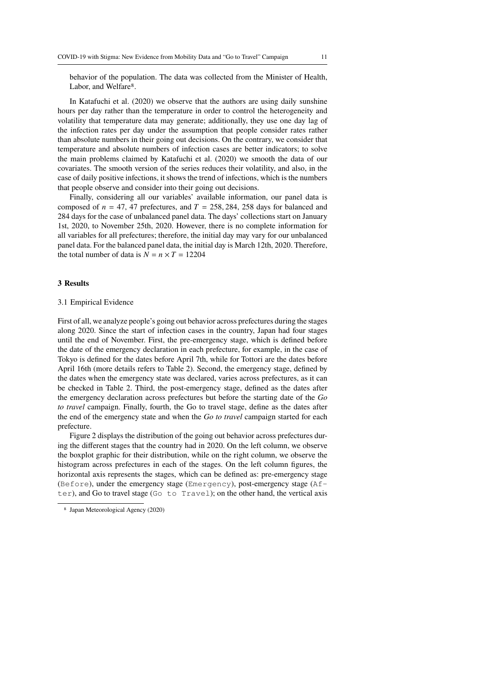behavior of the population. The data was collected from the Minister of Health, Labor, and Welfare<sup>8</sup>.

In Katafuchi et al. (2020) we observe that the authors are using daily sunshine hours per day rather than the temperature in order to control the heterogeneity and volatility that temperature data may generate; additionally, they use one day lag of the infection rates per day under the assumption that people consider rates rather than absolute numbers in their going out decisions. On the contrary, we consider that temperature and absolute numbers of infection cases are better indicators; to solve the main problems claimed by Katafuchi et al. (2020) we smooth the data of our covariates. The smooth version of the series reduces their volatility, and also, in the case of daily positive infections, it shows the trend of infections, which is the numbers that people observe and consider into their going out decisions.

Finally, considering all our variables' available information, our panel data is composed of  $n = 47, 47$  prefectures, and  $T = 258, 284, 258$  days for balanced and 284 days for the case of unbalanced panel data. The days' collections start on January 1st, 2020, to November 25th, 2020. However, there is no complete information for all variables for all prefectures; therefore, the initial day may vary for our unbalanced panel data. For the balanced panel data, the initial day is March 12th, 2020. Therefore, the total number of data is  $N = n \times T = 12204$ 

### **3 Results**

#### 3.1 Empirical Evidence

First of all, we analyze people's going out behavior across prefectures during the stages along 2020. Since the start of infection cases in the country, Japan had four stages until the end of November. First, the pre-emergency stage, which is defined before the date of the emergency declaration in each prefecture, for example, in the case of Tokyo is defined for the dates before April 7th, while for Tottori are the dates before April 16th (more details refers to Table 2). Second, the emergency stage, defined by the dates when the emergency state was declared, varies across prefectures, as it can be checked in Table 2. Third, the post-emergency stage, defined as the dates after the emergency declaration across prefectures but before the starting date of the *Go to travel* campaign. Finally, fourth, the Go to travel stage, define as the dates after the end of the emergency state and when the *Go to travel* campaign started for each prefecture.

Figure 2 displays the distribution of the going out behavior across prefectures during the different stages that the country had in 2020. On the left column, we observe the boxplot graphic for their distribution, while on the right column, we observe the histogram across prefectures in each of the stages. On the left column figures, the horizontal axis represents the stages, which can be defined as: pre-emergency stage (Before), under the emergency stage (Emergency), post-emergency stage (After), and Go to travel stage (Go to Travel); on the other hand, the vertical axis

<sup>8</sup> Japan Meteorological Agency (2020)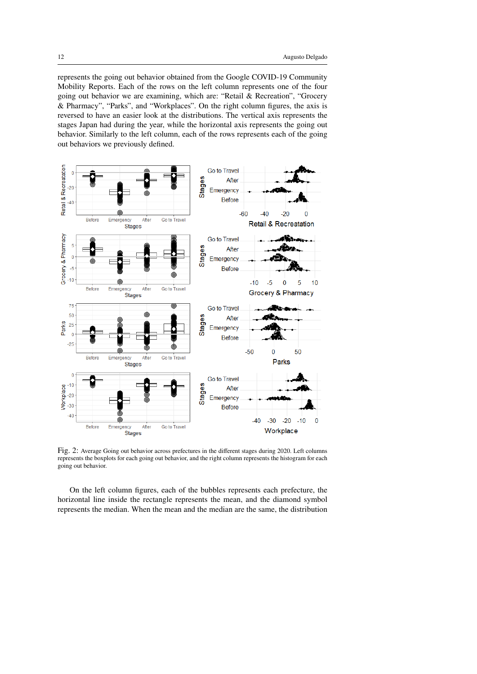represents the going out behavior obtained from the Google COVID-19 Community Mobility Reports. Each of the rows on the left column represents one of the four going out behavior we are examining, which are: "Retail & Recreation", "Grocery & Pharmacy", "Parks", and "Workplaces". On the right column figures, the axis is reversed to have an easier look at the distributions. The vertical axis represents the stages Japan had during the year, while the horizontal axis represents the going out behavior. Similarly to the left column, each of the rows represents each of the going out behaviors we previously defined.



Fig. 2: Average Going out behavior across prefectures in the different stages during 2020. Left columns represents the boxplots for each going out behavior, and the right column represents the histogram for each going out behavior.

On the left column figures, each of the bubbles represents each prefecture, the horizontal line inside the rectangle represents the mean, and the diamond symbol represents the median. When the mean and the median are the same, the distribution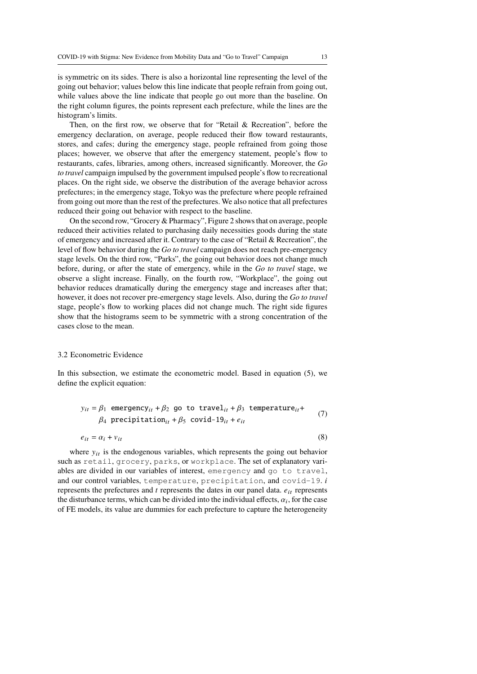is symmetric on its sides. There is also a horizontal line representing the level of the going out behavior; values below this line indicate that people refrain from going out, while values above the line indicate that people go out more than the baseline. On the right column figures, the points represent each prefecture, while the lines are the histogram's limits.

Then, on the first row, we observe that for "Retail & Recreation", before the emergency declaration, on average, people reduced their flow toward restaurants, stores, and cafes; during the emergency stage, people refrained from going those places; however, we observe that after the emergency statement, people's flow to restaurants, cafes, libraries, among others, increased significantly. Moreover, the *Go to travel* campaign impulsed by the government impulsed people's flow to recreational places. On the right side, we observe the distribution of the average behavior across prefectures; in the emergency stage, Tokyo was the prefecture where people refrained from going out more than the rest of the prefectures. We also notice that all prefectures reduced their going out behavior with respect to the baseline.

On the second row, "Grocery & Pharmacy", Figure 2 shows that on average, people reduced their activities related to purchasing daily necessities goods during the state of emergency and increased after it. Contrary to the case of "Retail & Recreation", the level of flow behavior during the *Go to travel* campaign does not reach pre-emergency stage levels. On the third row, "Parks", the going out behavior does not change much before, during, or after the state of emergency, while in the *Go to travel* stage, we observe a slight increase. Finally, on the fourth row, "Workplace", the going out behavior reduces dramatically during the emergency stage and increases after that; however, it does not recover pre-emergency stage levels. Also, during the *Go to travel* stage, people's flow to working places did not change much. The right side figures show that the histograms seem to be symmetric with a strong concentration of the cases close to the mean.

#### 3.2 Econometric Evidence

In this subsection, we estimate the econometric model. Based in equation (5), we define the explicit equation:

$$
y_{it} = \beta_1 \text{ emergency}_{it} + \beta_2 \text{ go to travel}_{it} + \beta_3 \text{ temperature}_{it} +
$$
  

$$
\beta_4 \text{ precipitation}_{it} + \beta_5 \text{ covid-19}_{it} + e_{it}
$$
 (7)

$$
e_{it} = \alpha_i + v_{it} \tag{8}
$$

where  $y_{it}$  is the endogenous variables, which represents the going out behavior such as retail, grocery, parks, or workplace. The set of explanatory variables are divided in our variables of interest, emergency and go to travel, and our control variables, temperature, precipitation, and covid-19.  $i$ represents the prefectures and  $t$  represents the dates in our panel data.  $e_{it}$  represents the disturbance terms, which can be divided into the individual effects,  $\alpha_i$ , for the case of FE models, its value are dummies for each prefecture to capture the heterogeneity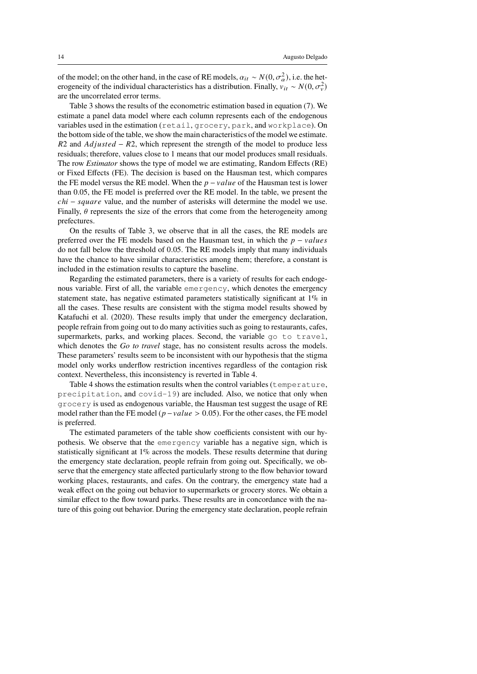of the model; on the other hand, in the case of RE models,  $\alpha_{it} \sim N(0, \sigma_{\alpha}^2)$ , i.e. the heterogeneity of the individual characteristics has a distribution. Finally,  $v_{it} \sim N(0, \sigma_v^2)$ are the uncorrelated error terms.

Table 3 shows the results of the econometric estimation based in equation (7). We estimate a panel data model where each column represents each of the endogenous variables used in the estimation (retail, grocery, park, and workplace). On the bottom side of the table, we show the main characteristics of the model we estimate.  $R2$  and  $Adjusted - R2$ , which represent the strength of the model to produce less residuals; therefore, values close to 1 means that our model produces small residuals. The row *Estimator* shows the type of model we are estimating, Random Effects (RE) or Fixed Effects (FE). The decision is based on the Hausman test, which compares the FE model versus the RE model. When the  $p - value$  of the Hausman test is lower than 0.05, the FE model is preferred over the RE model. In the table, we present the  $chi - square$  value, and the number of asterisks will determine the model we use. Finally,  $\theta$  represents the size of the errors that come from the heterogeneity among prefectures.

On the results of Table 3, we observe that in all the cases, the RE models are preferred over the FE models based on the Hausman test, in which the  $p - values$ do not fall below the threshold of 0.05. The RE models imply that many individuals have the chance to have similar characteristics among them; therefore, a constant is included in the estimation results to capture the baseline.

Regarding the estimated parameters, there is a variety of results for each endogenous variable. First of all, the variable emergency, which denotes the emergency statement state, has negative estimated parameters statistically significant at 1% in all the cases. These results are consistent with the stigma model results showed by Katafuchi et al. (2020). These results imply that under the emergency declaration, people refrain from going out to do many activities such as going to restaurants, cafes, supermarkets, parks, and working places. Second, the variable go to travel, which denotes the *Go to travel* stage, has no consistent results across the models. These parameters' results seem to be inconsistent with our hypothesis that the stigma model only works underflow restriction incentives regardless of the contagion risk context. Nevertheless, this inconsistency is reverted in Table 4.

Table 4 shows the estimation results when the control variables (temperature, precipitation, and covid-19) are included. Also, we notice that only when grocery is used as endogenous variable, the Hausman test suggest the usage of RE model rather than the FE model ( $p-value > 0.05$ ). For the other cases, the FE model is preferred.

The estimated parameters of the table show coefficients consistent with our hypothesis. We observe that the emergency variable has a negative sign, which is statistically significant at 1% across the models. These results determine that during the emergency state declaration, people refrain from going out. Specifically, we observe that the emergency state affected particularly strong to the flow behavior toward working places, restaurants, and cafes. On the contrary, the emergency state had a weak effect on the going out behavior to supermarkets or grocery stores. We obtain a similar effect to the flow toward parks. These results are in concordance with the nature of this going out behavior. During the emergency state declaration, people refrain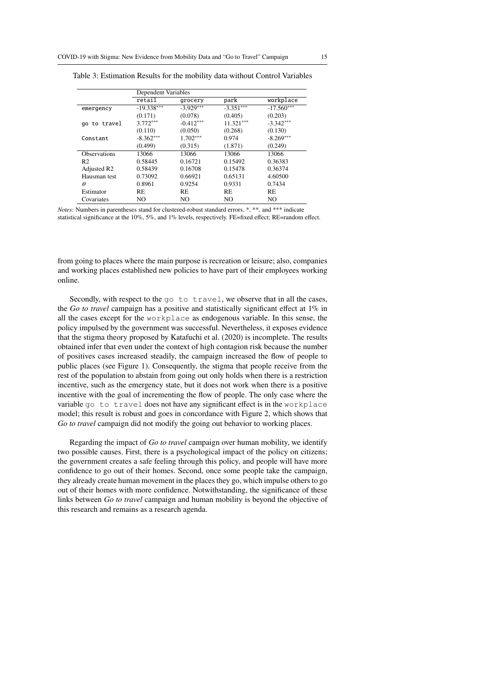|                         | Dependent Variables |             |             |                |
|-------------------------|---------------------|-------------|-------------|----------------|
|                         | retail              | grocery     | park        | workplace      |
| emergency               | $-19.338***$        | $-3.929***$ | $-3.351***$ | $-17.560***$   |
|                         | (0.171)             | (0.078)     | (0.405)     | (0.203)        |
| go to travel            | $3.772***$          | $-0.412***$ | $11.321***$ | $-3.342***$    |
|                         | (0.110)             | (0.050)     | (0.268)     | (0.130)        |
| Constant                | $-8.362***$         | $1.702***$  | 0.974       | $-8.269***$    |
|                         | (0.499)             | (0.315)     | (1.871)     | (0.249)        |
| <b>Observations</b>     | 13066               | 13066       | 13066       | 13066          |
| R <sub>2</sub>          | 0.58445             | 0.16721     | 0.15492     | 0.36383        |
| Adjusted R <sub>2</sub> | 0.58439             | 0.16708     | 0.15478     | 0.36374        |
| Hausman test            | 0.73092             | 0.66921     | 0.65131     | 4.60500        |
| Ĥ                       | 0.8961              | 0.9254      | 0.9331      | 0.7434         |
| Estimator               | <b>RE</b>           | <b>RE</b>   | <b>RE</b>   | <b>RE</b>      |
| Covariates              | NO                  | NO          | NO          | N <sub>O</sub> |

Table 3: Estimation Results for the mobility data without Control Variables

*Notes:* Numbers in parentheses stand for clustered-robust standard errors. \*, \*\*, and \*\*\* indicate statistical significance at the 10%, 5%, and 1% levels, respectively. FE=fixed effect; RE=random effect.

from going to places where the main purpose is recreation or leisure; also, companies and working places established new policies to have part of their employees working online.

Secondly, with respect to the go to travel, we observe that in all the cases, the *Go to travel* campaign has a positive and statistically significant effect at 1% in all the cases except for the workplace as endogenous variable. In this sense, the policy impulsed by the government was successful. Nevertheless, it exposes evidence that the stigma theory proposed by Katafuchi et al. (2020) is incomplete. The results obtained infer that even under the context of high contagion risk because the number of positives cases increased steadily, the campaign increased the flow of people to public places (see Figure 1). Consequently, the stigma that people receive from the rest of the population to abstain from going out only holds when there is a restriction incentive, such as the emergency state, but it does not work when there is a positive incentive with the goal of incrementing the flow of people. The only case where the variable go to travel does not have any significant effect is in the workplace model; this result is robust and goes in concordance with Figure 2, which shows that *Go to travel* campaign did not modify the going out behavior to working places.

Regarding the impact of *Go to travel* campaign over human mobility, we identify two possible causes. First, there is a psychological impact of the policy on citizens; the government creates a safe feeling through this policy, and people will have more confidence to go out of their homes. Second, once some people take the campaign, they already create human movement in the places they go, which impulse others to go out of their homes with more confidence. Notwithstanding, the significance of these links between *Go to travel* campaign and human mobility is beyond the objective of this research and remains as a research agenda.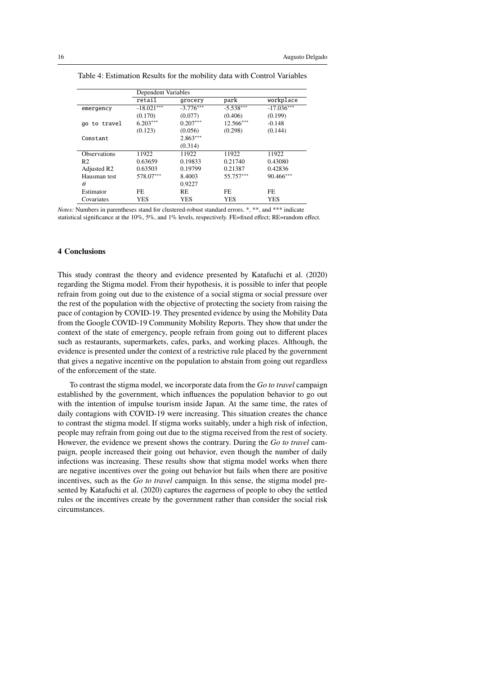|                         | Dependent Variables |             |             |              |
|-------------------------|---------------------|-------------|-------------|--------------|
|                         | retail              | grocery     | park        | workplace    |
| emergency               | $-18.021***$        | $-3.776***$ | $-5.538***$ | $-17.036***$ |
|                         | (0.170)             | (0.077)     | (0.406)     | (0.199)      |
| go to travel            | $6.203***$          | $0.207***$  | $12.566***$ | $-0.148$     |
|                         | (0.123)             | (0.056)     | (0.298)     | (0.144)      |
| Constant                |                     | $2.863***$  |             |              |
|                         |                     | (0.314)     |             |              |
| <b>Observations</b>     | 11922               | 11922       | 11922       | 11922        |
| R <sub>2</sub>          | 0.63659             | 0.19833     | 0.21740     | 0.43080      |
| Adjusted R <sub>2</sub> | 0.63503             | 0.19799     | 0.21387     | 0.42836      |
| Hausman test            | 578.07***           | 8.4003      | 55.757***   | $90.466***$  |
| θ                       |                     | 0.9227      |             |              |
| Estimator               | FE.                 | <b>RE</b>   | FE.         | FE.          |
| Covariates              | YES                 | <b>YES</b>  | <b>YES</b>  | <b>YES</b>   |

Table 4: Estimation Results for the mobility data with Control Variables

*Notes:* Numbers in parentheses stand for clustered-robust standard errors. \*, \*\*, and \*\*\* indicate statistical significance at the 10%, 5%, and 1% levels, respectively. FE=fixed effect; RE=random effect.

# **4 Conclusions**

This study contrast the theory and evidence presented by Katafuchi et al. (2020) regarding the Stigma model. From their hypothesis, it is possible to infer that people refrain from going out due to the existence of a social stigma or social pressure over the rest of the population with the objective of protecting the society from raising the pace of contagion by COVID-19. They presented evidence by using the Mobility Data from the Google COVID-19 Community Mobility Reports. They show that under the context of the state of emergency, people refrain from going out to different places such as restaurants, supermarkets, cafes, parks, and working places. Although, the evidence is presented under the context of a restrictive rule placed by the government that gives a negative incentive on the population to abstain from going out regardless of the enforcement of the state.

To contrast the stigma model, we incorporate data from the *Go to travel* campaign established by the government, which influences the population behavior to go out with the intention of impulse tourism inside Japan. At the same time, the rates of daily contagions with COVID-19 were increasing. This situation creates the chance to contrast the stigma model. If stigma works suitably, under a high risk of infection, people may refrain from going out due to the stigma received from the rest of society. However, the evidence we present shows the contrary. During the *Go to travel* campaign, people increased their going out behavior, even though the number of daily infections was increasing. These results show that stigma model works when there are negative incentives over the going out behavior but fails when there are positive incentives, such as the *Go to travel* campaign. In this sense, the stigma model presented by Katafuchi et al. (2020) captures the eagerness of people to obey the settled rules or the incentives create by the government rather than consider the social risk circumstances.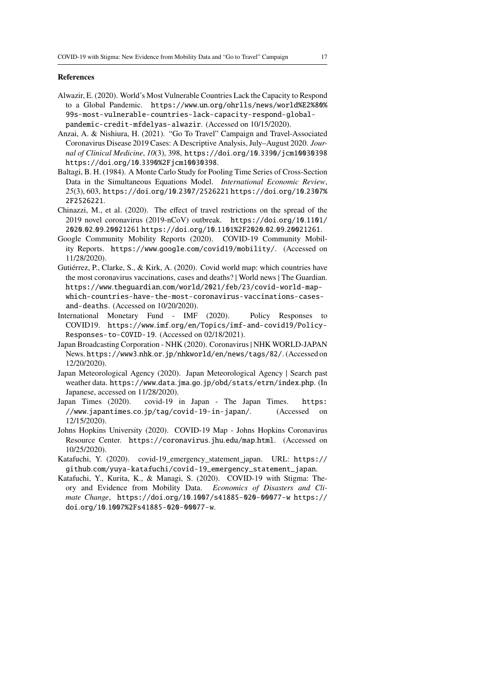#### **References**

- Alwazir, E. (2020). World's Most Vulnerable Countries Lack the Capacity to Respond to a Global Pandemic. https://www.un.org/ohrlls/news/world%E2%80% 99s-most-vulnerable-countries-lack-capacity-respond-globalpandemic-credit-mfdelyas-alwazir. (Accessed on 10/15/2020).
- Anzai, A. & Nishiura, H. (2021). "Go To Travel" Campaign and Travel-Associated Coronavirus Disease 2019 Cases: A Descriptive Analysis, July–August 2020. *Journal of Clinical Medicine*, *10*(3), 398, https://doi.org/10.3390/jcm10030398 https://doi.org/10.3390%2Fjcm10030398.
- Baltagi, B. H. (1984). A Monte Carlo Study for Pooling Time Series of Cross-Section Data in the Simultaneous Equations Model. *International Economic Review*, *25*(3), 603, https://doi.org/10.2307/2526221 https://doi.org/10.2307% 2F2526221.
- Chinazzi, M., et al. (2020). The effect of travel restrictions on the spread of the 2019 novel coronavirus (2019-nCoV) outbreak. https://doi.org/10.1101/ 2020.02.09.20021261 https://doi.org/10.1101%2F2020.02.09.20021261.
- Google Community Mobility Reports (2020). COVID-19 Community Mobility Reports. https://www.google.com/covid19/mobility/. (Accessed on 11/28/2020).
- Gutiérrez, P., Clarke, S., & Kirk, A. (2020). Covid world map: which countries have the most coronavirus vaccinations, cases and deaths? | World news | The Guardian. https://www.theguardian.com/world/2021/feb/23/covid-world-mapwhich-countries-have-the-most-coronavirus-vaccinations-casesand-deaths. (Accessed on 10/20/2020).
- International Monetary Fund IMF (2020). Policy Responses to COVID19. https://www.imf.org/en/Topics/imf-and-covid19/Policy-Responses-to-COVID-19. (Accessed on 02/18/2021).
- Japan Broadcasting Corporation NHK (2020). Coronavirus | NHK WORLD-JAPAN News. https://www3.nhk.or.jp/nhkworld/en/news/tags/82/. (Accessed on 12/20/2020).
- Japan Meteorological Agency (2020). Japan Meteorological Agency | Search past weather data. https://www.data.jma.go.jp/obd/stats/etrn/index.php. (In Japanese, accessed on 11/28/2020).
- Japan Times (2020). covid-19 in Japan The Japan Times. https: //www.japantimes.co.jp/tag/covid-19-in-japan/. (Accessed on 12/15/2020).
- Johns Hopkins University (2020). COVID-19 Map Johns Hopkins Coronavirus Resource Center. https://coronavirus.jhu.edu/map.html. (Accessed on 10/25/2020).
- Katafuchi, Y. (2020). covid-19\_emergency\_statement\_japan. URL: https:// github.com/yuya-katafuchi/covid-19\_emergency\_statement\_japan.
- Katafuchi, Y., Kurita, K., & Managi, S. (2020). COVID-19 with Stigma: Theory and Evidence from Mobility Data. *Economics of Disasters and Climate Change*, https://doi.org/10.1007/s41885-020-00077-w https:// doi.org/10.1007%2Fs41885-020-00077-w.